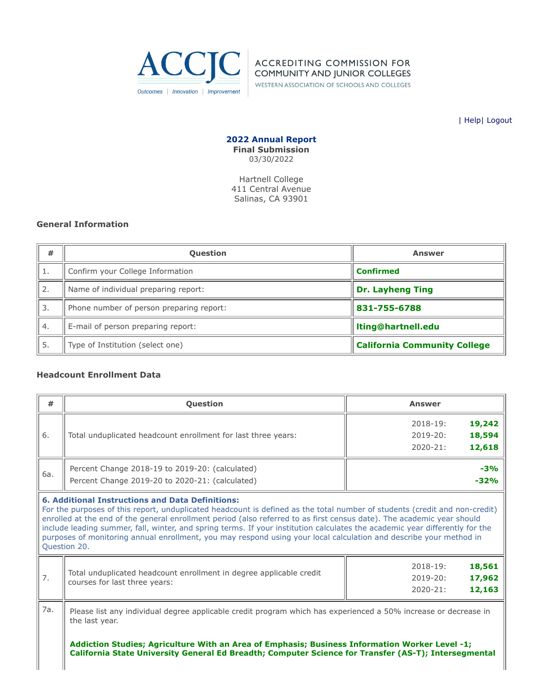

**ACCREDITING COMMISSION FOR** COMMUNITY AND JUNIOR COLLEGES

WESTERN ASSOCIATION OF SCHOOLS AND COLLEGES

| [Help](javascript:newPopup()| [Logout](https://survey.accjc.org/annualreport/logout.php)

**2022 Annual Report Final Submission** 03/30/2022

Hartnell College 411 Central Avenue Salinas, CA 93901

## **General Information**

| #  | <b>Question</b>                          | <b>Answer</b>                       |
|----|------------------------------------------|-------------------------------------|
|    | Confirm your College Information         | <b>Confirmed</b>                    |
| 2. | Name of individual preparing report:     | <b>Dr. Layheng Ting</b>             |
| 3. | Phone number of person preparing report: | 831-755-6788                        |
| 4. | E-mail of person preparing report:       | Iting@hartnell.edu                  |
| 5. | Type of Institution (select one)         | <b>California Community College</b> |

## **Headcount Enrollment Data**

| #   | <b>Question</b>                                                                                                                                                                                                                                                                                                                                                                                                                                                                                                                                                                       | <b>Answer</b>                                                          |  |  |  |  |  |  |
|-----|---------------------------------------------------------------------------------------------------------------------------------------------------------------------------------------------------------------------------------------------------------------------------------------------------------------------------------------------------------------------------------------------------------------------------------------------------------------------------------------------------------------------------------------------------------------------------------------|------------------------------------------------------------------------|--|--|--|--|--|--|
| 6.  | Total unduplicated headcount enrollment for last three years:                                                                                                                                                                                                                                                                                                                                                                                                                                                                                                                         | 19,242<br>$2018 - 19:$<br>18,594<br>2019-20:<br>12,618<br>$2020 - 21:$ |  |  |  |  |  |  |
| 6a. | Percent Change 2018-19 to 2019-20: (calculated)<br>Percent Change 2019-20 to 2020-21: (calculated)                                                                                                                                                                                                                                                                                                                                                                                                                                                                                    | $-3%$<br>$-32%$                                                        |  |  |  |  |  |  |
|     | <b>6. Additional Instructions and Data Definitions:</b><br>For the purposes of this report, unduplicated headcount is defined as the total number of students (credit and non-credit)<br>enrolled at the end of the general enrollment period (also referred to as first census date). The academic year should<br>include leading summer, fall, winter, and spring terms. If your institution calculates the academic year differently for the<br>purposes of monitoring annual enrollment, you may respond using your local calculation and describe your method in<br>Question 20. |                                                                        |  |  |  |  |  |  |
| 7.  | 18,561<br>$2018 - 19:$<br>Total unduplicated headcount enrollment in degree applicable credit<br>17,962<br>$2019 - 20:$<br>courses for last three years:<br>12,163<br>$2020 - 21:$                                                                                                                                                                                                                                                                                                                                                                                                    |                                                                        |  |  |  |  |  |  |
| 7а. | Please list any individual degree applicable credit program which has experienced a 50% increase or decrease in<br>the last year.<br>Addiction Studies; Agriculture With an Area of Emphasis; Business Information Worker Level -1;<br>California State University General Ed Breadth; Computer Science for Transfer (AS-T); Intersegmental                                                                                                                                                                                                                                           |                                                                        |  |  |  |  |  |  |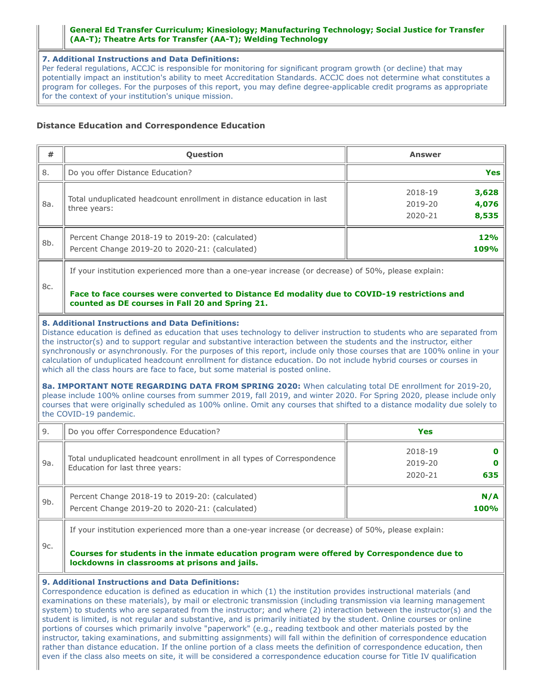### **General Ed Transfer Curriculum; Kinesiology; Manufacturing Technology; Social Justice for Transfer (AA-T); Theatre Arts for Transfer (AA-T); Welding Technology**

**7. Additional Instructions and Data Definitions:**

Per federal regulations, ACCJC is responsible for monitoring for significant program growth (or decline) that may potentially impact an institution's ability to meet Accreditation Standards. ACCJC does not determine what constitutes a program for colleges. For the purposes of this report, you may define degree-applicable credit programs as appropriate for the context of your institution's unique mission.

## **Distance Education and Correspondence Education**

| #                                                                                                                                                                                                                                                                                                                                                                                                                                                                                                                                                                                                                                                                                                                                                                                                                                                                                                                                                                                                                                      | Question                                                                                                                                                                                                                                           | <b>Answer</b>                                            |  |  |  |  |  |
|----------------------------------------------------------------------------------------------------------------------------------------------------------------------------------------------------------------------------------------------------------------------------------------------------------------------------------------------------------------------------------------------------------------------------------------------------------------------------------------------------------------------------------------------------------------------------------------------------------------------------------------------------------------------------------------------------------------------------------------------------------------------------------------------------------------------------------------------------------------------------------------------------------------------------------------------------------------------------------------------------------------------------------------|----------------------------------------------------------------------------------------------------------------------------------------------------------------------------------------------------------------------------------------------------|----------------------------------------------------------|--|--|--|--|--|
| 8.                                                                                                                                                                                                                                                                                                                                                                                                                                                                                                                                                                                                                                                                                                                                                                                                                                                                                                                                                                                                                                     | Do you offer Distance Education?                                                                                                                                                                                                                   | <b>Yes</b>                                               |  |  |  |  |  |
| 8a.                                                                                                                                                                                                                                                                                                                                                                                                                                                                                                                                                                                                                                                                                                                                                                                                                                                                                                                                                                                                                                    | Total unduplicated headcount enrollment in distance education in last<br>three years:                                                                                                                                                              | 3,628<br>2018-19<br>4,076<br>2019-20<br>2020-21<br>8,535 |  |  |  |  |  |
| 8b.                                                                                                                                                                                                                                                                                                                                                                                                                                                                                                                                                                                                                                                                                                                                                                                                                                                                                                                                                                                                                                    | Percent Change 2018-19 to 2019-20: (calculated)<br>Percent Change 2019-20 to 2020-21: (calculated)                                                                                                                                                 | 12%<br>109%                                              |  |  |  |  |  |
|                                                                                                                                                                                                                                                                                                                                                                                                                                                                                                                                                                                                                                                                                                                                                                                                                                                                                                                                                                                                                                        | If your institution experienced more than a one-year increase (or decrease) of 50%, please explain:                                                                                                                                                |                                                          |  |  |  |  |  |
| 8c.                                                                                                                                                                                                                                                                                                                                                                                                                                                                                                                                                                                                                                                                                                                                                                                                                                                                                                                                                                                                                                    | Face to face courses were converted to Distance Ed modality due to COVID-19 restrictions and<br>counted as DE courses in Fall 20 and Spring 21.                                                                                                    |                                                          |  |  |  |  |  |
| 8. Additional Instructions and Data Definitions:<br>Distance education is defined as education that uses technology to deliver instruction to students who are separated from<br>the instructor(s) and to support regular and substantive interaction between the students and the instructor, either<br>synchronously or asynchronously. For the purposes of this report, include only those courses that are 100% online in your<br>calculation of unduplicated headcount enrollment for distance education. Do not include hybrid courses or courses in<br>which all the class hours are face to face, but some material is posted online.<br>8a. IMPORTANT NOTE REGARDING DATA FROM SPRING 2020: When calculating total DE enrollment for 2019-20,<br>please include 100% online courses from summer 2019, fall 2019, and winter 2020. For Spring 2020, please include only<br>courses that were originally scheduled as 100% online. Omit any courses that shifted to a distance modality due solely to<br>the COVID-19 pandemic. |                                                                                                                                                                                                                                                    |                                                          |  |  |  |  |  |
| 9.                                                                                                                                                                                                                                                                                                                                                                                                                                                                                                                                                                                                                                                                                                                                                                                                                                                                                                                                                                                                                                     | Do you offer Correspondence Education?                                                                                                                                                                                                             | <b>Yes</b>                                               |  |  |  |  |  |
| 9a.                                                                                                                                                                                                                                                                                                                                                                                                                                                                                                                                                                                                                                                                                                                                                                                                                                                                                                                                                                                                                                    | Total unduplicated headcount enrollment in all types of Correspondence<br>Education for last three years:                                                                                                                                          | 2018-19<br>0<br>2019-20<br>2020-21<br>635                |  |  |  |  |  |
| $9b$ .                                                                                                                                                                                                                                                                                                                                                                                                                                                                                                                                                                                                                                                                                                                                                                                                                                                                                                                                                                                                                                 | Percent Change 2018-19 to 2019-20: (calculated)<br>Percent Change 2019-20 to 2020-21: (calculated)                                                                                                                                                 | N/A<br>100%                                              |  |  |  |  |  |
| 9c.                                                                                                                                                                                                                                                                                                                                                                                                                                                                                                                                                                                                                                                                                                                                                                                                                                                                                                                                                                                                                                    | If your institution experienced more than a one-year increase (or decrease) of 50%, please explain:<br>Courses for students in the inmate education program were offered by Correspondence due to<br>lockdowns in classrooms at prisons and jails. |                                                          |  |  |  |  |  |

## **9. Additional Instructions and Data Definitions:**

Correspondence education is defined as education in which (1) the institution provides instructional materials (and examinations on these materials), by mail or electronic transmission (including transmission via learning management system) to students who are separated from the instructor; and where (2) interaction between the instructor(s) and the student is limited, is not regular and substantive, and is primarily initiated by the student. Online courses or online portions of courses which primarily involve "paperwork" (e.g., reading textbook and other materials posted by the instructor, taking examinations, and submitting assignments) will fall within the definition of correspondence education rather than distance education. If the online portion of a class meets the definition of correspondence education, then even if the class also meets on site, it will be considered a correspondence education course for Title IV qualification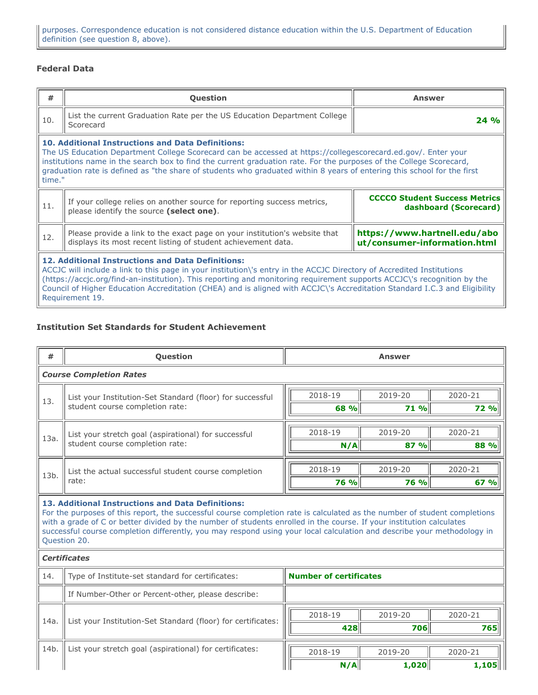# **Federal Data**

| #                                                                                                                                                                                                                                                                                                                                                                                                                                                             | Question                                                                                                                                                                                                                                                                                                                                                                                                                              | <b>Answer</b>                                                 |  |  |  |  |
|---------------------------------------------------------------------------------------------------------------------------------------------------------------------------------------------------------------------------------------------------------------------------------------------------------------------------------------------------------------------------------------------------------------------------------------------------------------|---------------------------------------------------------------------------------------------------------------------------------------------------------------------------------------------------------------------------------------------------------------------------------------------------------------------------------------------------------------------------------------------------------------------------------------|---------------------------------------------------------------|--|--|--|--|
| 10.                                                                                                                                                                                                                                                                                                                                                                                                                                                           | List the current Graduation Rate per the US Education Department College<br>Scorecard                                                                                                                                                                                                                                                                                                                                                 | 24%                                                           |  |  |  |  |
|                                                                                                                                                                                                                                                                                                                                                                                                                                                               | <b>10. Additional Instructions and Data Definitions:</b><br>The US Education Department College Scorecard can be accessed at https://collegescorecard.ed.gov/. Enter your<br>institutions name in the search box to find the current graduation rate. For the purposes of the College Scorecard,<br>graduation rate is defined as "the share of students who graduated within 8 years of entering this school for the first<br>time." |                                                               |  |  |  |  |
| 11.                                                                                                                                                                                                                                                                                                                                                                                                                                                           | If your college relies on another source for reporting success metrics,<br>please identify the source (select one).                                                                                                                                                                                                                                                                                                                   | <b>CCCCO Student Success Metrics</b><br>dashboard (Scorecard) |  |  |  |  |
| 12.                                                                                                                                                                                                                                                                                                                                                                                                                                                           | https://www.hartnell.edu/abo<br>Please provide a link to the exact page on your institution's website that<br>displays its most recent listing of student achievement data.<br>ut/consumer-information.html                                                                                                                                                                                                                           |                                                               |  |  |  |  |
| <b>12. Additional Instructions and Data Definitions:</b><br>ACCJC will include a link to this page in your institution\'s entry in the ACCJC Directory of Accredited Institutions<br>(https://accjc.org/find-an-institution). This reporting and monitoring requirement supports ACCJC\'s recognition by the<br>Council of Higher Education Accreditation (CHEA) and is aligned with ACCJC\'s Accreditation Standard I.C.3 and Eligibility<br>Requirement 19. |                                                                                                                                                                                                                                                                                                                                                                                                                                       |                                                               |  |  |  |  |

## **Institution Set Standards for Student Achievement**

| #                                                                                                                                                                                                                                                                                                                                                                                                                                                 | Question                                                                          | <b>Answer</b> |             |             |  |  |  |  |
|---------------------------------------------------------------------------------------------------------------------------------------------------------------------------------------------------------------------------------------------------------------------------------------------------------------------------------------------------------------------------------------------------------------------------------------------------|-----------------------------------------------------------------------------------|---------------|-------------|-------------|--|--|--|--|
|                                                                                                                                                                                                                                                                                                                                                                                                                                                   | <b>Course Completion Rates</b>                                                    |               |             |             |  |  |  |  |
| 13.                                                                                                                                                                                                                                                                                                                                                                                                                                               | List your Institution-Set Standard (floor) for successful                         | 2018-19       | 2019-20     | 2020-21     |  |  |  |  |
|                                                                                                                                                                                                                                                                                                                                                                                                                                                   | student course completion rate:                                                   | 68 %          | $71$ %      | <b>72 %</b> |  |  |  |  |
|                                                                                                                                                                                                                                                                                                                                                                                                                                                   | List your stretch goal (aspirational) for successful                              | 2018-19       | 2019-20     | 2020-21     |  |  |  |  |
| 13a.                                                                                                                                                                                                                                                                                                                                                                                                                                              | student course completion rate:                                                   | N/A           | 87 %        | 88 %        |  |  |  |  |
|                                                                                                                                                                                                                                                                                                                                                                                                                                                   | List the actual successful student course completion                              |               |             |             |  |  |  |  |
| 13b.                                                                                                                                                                                                                                                                                                                                                                                                                                              |                                                                                   | 2018-19       | 2019-20     | 2020-21     |  |  |  |  |
|                                                                                                                                                                                                                                                                                                                                                                                                                                                   | rate:                                                                             | 76 %          | <b>76 %</b> | 67 %        |  |  |  |  |
| 13. Additional Instructions and Data Definitions:<br>For the purposes of this report, the successful course completion rate is calculated as the number of student completions<br>with a grade of C or better divided by the number of students enrolled in the course. If your institution calculates<br>successful course completion differently, you may respond using your local calculation and describe your methodology in<br>Question 20. |                                                                                   |               |             |             |  |  |  |  |
| <b>Certificates</b>                                                                                                                                                                                                                                                                                                                                                                                                                               |                                                                                   |               |             |             |  |  |  |  |
| 14.                                                                                                                                                                                                                                                                                                                                                                                                                                               | Type of Institute-set standard for certificates:<br><b>Number of certificates</b> |               |             |             |  |  |  |  |

|      | $\mu$ , and the contract of the statistical contraction.     | NUMBER OF CONTROLLS |         |         |
|------|--------------------------------------------------------------|---------------------|---------|---------|
|      | If Number-Other or Percent-other, please describe:           |                     |         |         |
|      | List your Institution-Set Standard (floor) for certificates: | 2018-19             | 2019-20 | 2020-21 |
| 14a  |                                                              | 428                 | 706     | 765     |
|      |                                                              |                     |         |         |
|      |                                                              |                     |         |         |
| 14b. | List your stretch goal (aspirational) for certificates:      | 2018-19             | 2019-20 | 2020-21 |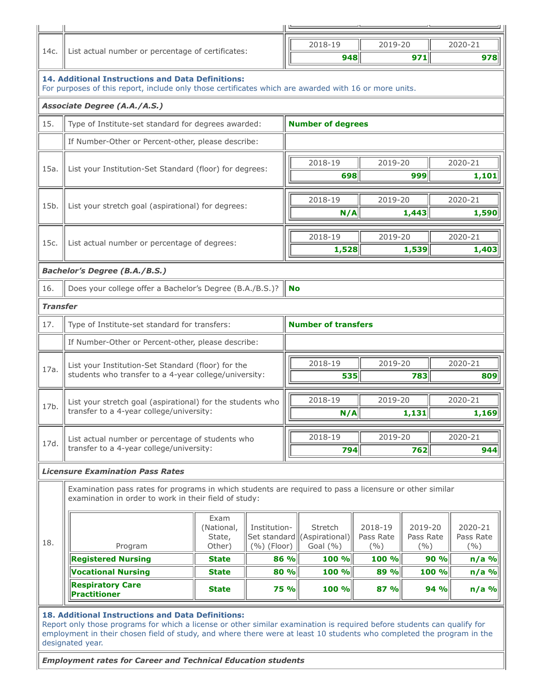|                 |                                                                                                                                                                              |                                                                                              |               | 2018-19<br>2019-20                                                                                                                                                                                                                                                                                                                                                                                                                                                                                                                                                                                                                                                                                                                                                                                                          |         |  |     |  |         |
|-----------------|------------------------------------------------------------------------------------------------------------------------------------------------------------------------------|----------------------------------------------------------------------------------------------|---------------|-----------------------------------------------------------------------------------------------------------------------------------------------------------------------------------------------------------------------------------------------------------------------------------------------------------------------------------------------------------------------------------------------------------------------------------------------------------------------------------------------------------------------------------------------------------------------------------------------------------------------------------------------------------------------------------------------------------------------------------------------------------------------------------------------------------------------------|---------|--|-----|--|---------|
| 14c.            | List actual number or percentage of certificates:                                                                                                                            |                                                                                              |               |                                                                                                                                                                                                                                                                                                                                                                                                                                                                                                                                                                                                                                                                                                                                                                                                                             |         |  | 971 |  | 978     |
|                 | <b>14. Additional Instructions and Data Definitions:</b>                                                                                                                     |                                                                                              |               |                                                                                                                                                                                                                                                                                                                                                                                                                                                                                                                                                                                                                                                                                                                                                                                                                             |         |  |     |  |         |
|                 | <b>Associate Degree (A.A./A.S.)</b>                                                                                                                                          |                                                                                              |               |                                                                                                                                                                                                                                                                                                                                                                                                                                                                                                                                                                                                                                                                                                                                                                                                                             |         |  |     |  |         |
| 15.             | Type of Institute-set standard for degrees awarded:<br><b>Number of degrees</b>                                                                                              |                                                                                              |               |                                                                                                                                                                                                                                                                                                                                                                                                                                                                                                                                                                                                                                                                                                                                                                                                                             |         |  |     |  |         |
|                 | If Number-Other or Percent-other, please describe:                                                                                                                           |                                                                                              |               |                                                                                                                                                                                                                                                                                                                                                                                                                                                                                                                                                                                                                                                                                                                                                                                                                             |         |  |     |  |         |
|                 |                                                                                                                                                                              |                                                                                              |               |                                                                                                                                                                                                                                                                                                                                                                                                                                                                                                                                                                                                                                                                                                                                                                                                                             | 2018-19 |  |     |  |         |
| 15a.            | List your Institution-Set Standard (floor) for degrees:                                                                                                                      |                                                                                              |               |                                                                                                                                                                                                                                                                                                                                                                                                                                                                                                                                                                                                                                                                                                                                                                                                                             |         |  | 999 |  | 1,101   |
|                 |                                                                                                                                                                              |                                                                                              |               |                                                                                                                                                                                                                                                                                                                                                                                                                                                                                                                                                                                                                                                                                                                                                                                                                             |         |  |     |  |         |
| 15b.            | List your stretch goal (aspirational) for degrees:                                                                                                                           |                                                                                              |               | 2020-21<br>948<br>For purposes of this report, include only those certificates which are awarded with 16 or more units.<br>2020-21<br>2019-20<br>698<br>2018-19<br>2019-20<br>2020-21<br>1,443<br>1,590<br>N/A<br>2018-19<br>2019-20<br>2020-21<br>1,528<br>1,539<br><b>No</b><br><b>Number of transfers</b><br>2018-19<br>2019-20<br>2020-21<br>535<br>783<br>2018-19<br>2020-21<br>2019-20<br>N/A<br>1,131<br>2018-19<br>2019-20<br>2020-21<br>794<br>762<br>Examination pass rates for programs in which students are required to pass a licensure or other similar<br>Stretch<br>2018-19<br>2019-20<br>2020-21<br>(Aspirational)<br>Pass Rate<br>Pass Rate<br>Pass Rate<br>Goal $(\% )$<br>(9/0)<br>(9/0)<br>(9/6)<br>100 %<br>100 %<br>90%<br>86 %<br>80 %<br>100 %<br>89 %<br>100 %<br>$n/a$ %<br>100 %<br>87%<br>94% |         |  |     |  |         |
|                 |                                                                                                                                                                              |                                                                                              |               |                                                                                                                                                                                                                                                                                                                                                                                                                                                                                                                                                                                                                                                                                                                                                                                                                             |         |  |     |  |         |
| 15c.            | List actual number or percentage of degrees:                                                                                                                                 |                                                                                              |               |                                                                                                                                                                                                                                                                                                                                                                                                                                                                                                                                                                                                                                                                                                                                                                                                                             |         |  |     |  | 1,403   |
|                 | <b>Bachelor's Degree (B.A./B.S.)</b>                                                                                                                                         |                                                                                              |               |                                                                                                                                                                                                                                                                                                                                                                                                                                                                                                                                                                                                                                                                                                                                                                                                                             |         |  |     |  |         |
| 16.             | Does your college offer a Bachelor's Degree (B.A./B.S.)?                                                                                                                     |                                                                                              |               |                                                                                                                                                                                                                                                                                                                                                                                                                                                                                                                                                                                                                                                                                                                                                                                                                             |         |  |     |  |         |
| <b>Transfer</b> |                                                                                                                                                                              |                                                                                              |               |                                                                                                                                                                                                                                                                                                                                                                                                                                                                                                                                                                                                                                                                                                                                                                                                                             |         |  |     |  |         |
| 17.             | Type of Institute-set standard for transfers:                                                                                                                                |                                                                                              |               |                                                                                                                                                                                                                                                                                                                                                                                                                                                                                                                                                                                                                                                                                                                                                                                                                             |         |  |     |  |         |
|                 | If Number-Other or Percent-other, please describe:                                                                                                                           |                                                                                              |               |                                                                                                                                                                                                                                                                                                                                                                                                                                                                                                                                                                                                                                                                                                                                                                                                                             |         |  |     |  |         |
|                 |                                                                                                                                                                              |                                                                                              |               |                                                                                                                                                                                                                                                                                                                                                                                                                                                                                                                                                                                                                                                                                                                                                                                                                             |         |  |     |  |         |
| 17a.            | List your Institution-Set Standard (floor) for the<br>students who transfer to a 4-year college/university:                                                                  |                                                                                              |               |                                                                                                                                                                                                                                                                                                                                                                                                                                                                                                                                                                                                                                                                                                                                                                                                                             |         |  |     |  | 809     |
|                 |                                                                                                                                                                              |                                                                                              |               |                                                                                                                                                                                                                                                                                                                                                                                                                                                                                                                                                                                                                                                                                                                                                                                                                             |         |  |     |  |         |
| 17b.            | List your stretch goal (aspirational) for the students who<br>transfer to a 4-year college/university:                                                                       |                                                                                              |               |                                                                                                                                                                                                                                                                                                                                                                                                                                                                                                                                                                                                                                                                                                                                                                                                                             |         |  |     |  | 1,169   |
|                 |                                                                                                                                                                              |                                                                                              |               |                                                                                                                                                                                                                                                                                                                                                                                                                                                                                                                                                                                                                                                                                                                                                                                                                             |         |  |     |  |         |
| 17d.            |                                                                                                                                                                              | List actual number or percentage of students who<br>transfer to a 4-year college/university: |               |                                                                                                                                                                                                                                                                                                                                                                                                                                                                                                                                                                                                                                                                                                                                                                                                                             |         |  |     |  | 944     |
|                 | <b>Licensure Examination Pass Rates</b>                                                                                                                                      |                                                                                              |               |                                                                                                                                                                                                                                                                                                                                                                                                                                                                                                                                                                                                                                                                                                                                                                                                                             |         |  |     |  |         |
|                 | examination in order to work in their field of study:                                                                                                                        |                                                                                              |               |                                                                                                                                                                                                                                                                                                                                                                                                                                                                                                                                                                                                                                                                                                                                                                                                                             |         |  |     |  |         |
|                 |                                                                                                                                                                              |                                                                                              |               |                                                                                                                                                                                                                                                                                                                                                                                                                                                                                                                                                                                                                                                                                                                                                                                                                             |         |  |     |  |         |
|                 | Exam<br>(National,<br>Set standard<br>State,<br>Program<br>Other)                                                                                                            |                                                                                              | Institution-  |                                                                                                                                                                                                                                                                                                                                                                                                                                                                                                                                                                                                                                                                                                                                                                                                                             |         |  |     |  |         |
| 18.             |                                                                                                                                                                              |                                                                                              | $(%)$ (Floor) |                                                                                                                                                                                                                                                                                                                                                                                                                                                                                                                                                                                                                                                                                                                                                                                                                             |         |  |     |  |         |
|                 | <b>Registered Nursing</b>                                                                                                                                                    | <b>State</b>                                                                                 |               |                                                                                                                                                                                                                                                                                                                                                                                                                                                                                                                                                                                                                                                                                                                                                                                                                             |         |  |     |  | $n/a$ % |
|                 | <b>Vocational Nursing</b><br><b>Respiratory Care</b>                                                                                                                         | <b>State</b>                                                                                 |               |                                                                                                                                                                                                                                                                                                                                                                                                                                                                                                                                                                                                                                                                                                                                                                                                                             |         |  |     |  |         |
|                 | <b>Practitioner</b>                                                                                                                                                          | <b>State</b>                                                                                 | <b>75 %</b>   |                                                                                                                                                                                                                                                                                                                                                                                                                                                                                                                                                                                                                                                                                                                                                                                                                             |         |  |     |  | $n/a$ % |
|                 | 18. Additional Instructions and Data Definitions:<br>Report only those programs for which a license or other similar examination is required before students can qualify for |                                                                                              |               |                                                                                                                                                                                                                                                                                                                                                                                                                                                                                                                                                                                                                                                                                                                                                                                                                             |         |  |     |  |         |
|                 | employment in their chosen field of study, and where there were at least 10 students who completed the program in the                                                        |                                                                                              |               |                                                                                                                                                                                                                                                                                                                                                                                                                                                                                                                                                                                                                                                                                                                                                                                                                             |         |  |     |  |         |
|                 | designated year.                                                                                                                                                             |                                                                                              |               |                                                                                                                                                                                                                                                                                                                                                                                                                                                                                                                                                                                                                                                                                                                                                                                                                             |         |  |     |  |         |

*Employment rates for Career and Technical Education students*